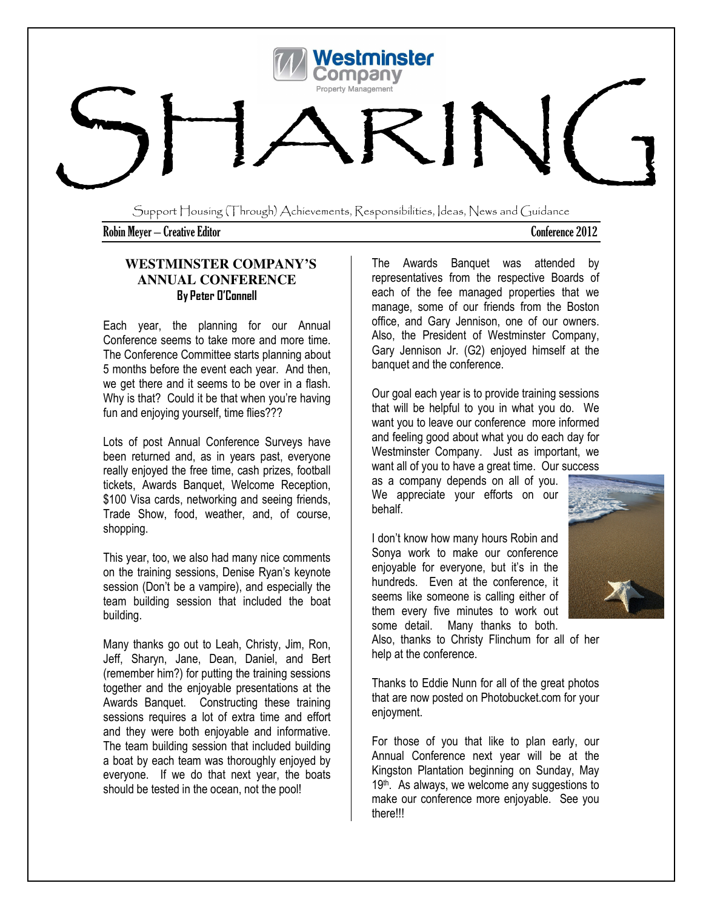

Support Housing (Through) Achievements, Responsibilities, Ideas, News and Guidance

Robin Meyer – Creative EditorConference 2012

# **WESTMINSTER COMPANY'S ANNUAL CONFERENCE**  By Peter O'Connell

Each year, the planning for our Annual Conference seems to take more and more time. The Conference Committee starts planning about 5 months before the event each year. And then, we get there and it seems to be over in a flash. Why is that? Could it be that when you're having fun and enjoying yourself, time flies???

Lots of post Annual Conference Surveys have been returned and, as in years past, everyone really enjoyed the free time, cash prizes, football tickets, Awards Banquet, Welcome Reception, \$100 Visa cards, networking and seeing friends, Trade Show, food, weather, and, of course, shopping.

This year, too, we also had many nice comments on the training sessions, Denise Ryan's keynote session (Don't be a vampire), and especially the team building session that included the boat building.

Many thanks go out to Leah, Christy, Jim, Ron, Jeff, Sharyn, Jane, Dean, Daniel, and Bert (remember him?) for putting the training sessions together and the enjoyable presentations at the Awards Banquet. Constructing these training sessions requires a lot of extra time and effort and they were both enjoyable and informative. The team building session that included building a boat by each team was thoroughly enjoyed by everyone. If we do that next year, the boats should be tested in the ocean, not the pool!

The Awards Banquet was attended by representatives from the respective Boards of each of the fee managed properties that we manage, some of our friends from the Boston office, and Gary Jennison, one of our owners. Also, the President of Westminster Company, Gary Jennison Jr. (G2) enjoyed himself at the banquet and the conference.

Our goal each year is to provide training sessions that will be helpful to you in what you do. We want you to leave our conference more informed and feeling good about what you do each day for Westminster Company. Just as important, we want all of you to have a great time. Our success

as a company depends on all of you. We appreciate your efforts on our behalf.

I don't know how many hours Robin and Sonya work to make our conference enjoyable for everyone, but it's in the hundreds. Even at the conference, it seems like someone is calling either of them every five minutes to work out some detail. Many thanks to both.



Also, thanks to Christy Flinchum for all of her help at the conference.

Thanks to Eddie Nunn for all of the great photos that are now posted on Photobucket.com for your enjoyment.

For those of you that like to plan early, our Annual Conference next year will be at the Kingston Plantation beginning on Sunday, May 19<sup>th</sup>. As always, we welcome any suggestions to make our conference more enjoyable. See you there!!!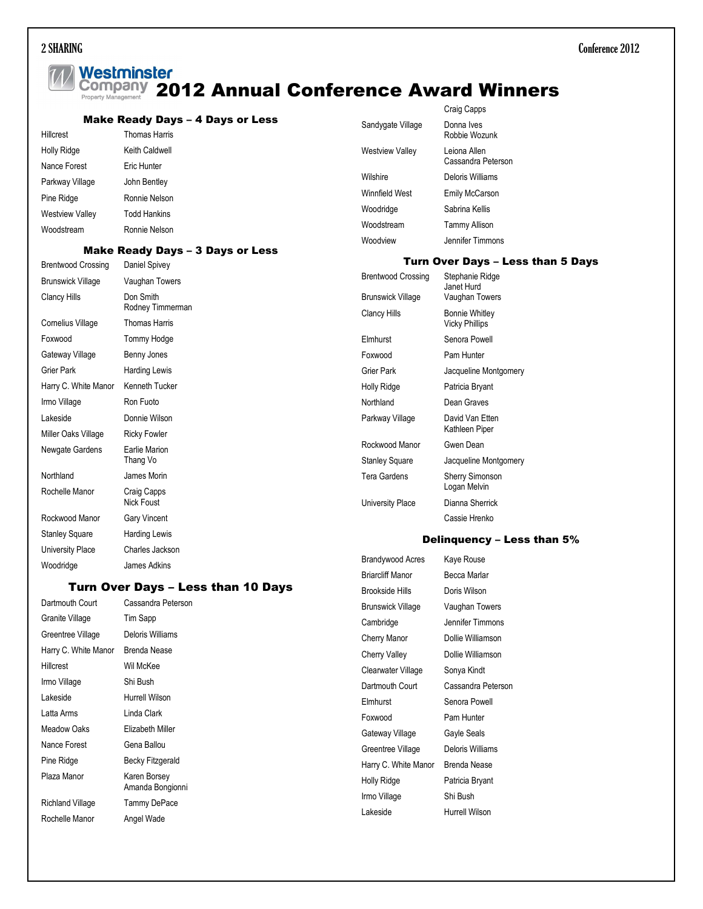# **77 Westminster<br>Company 2012 Annual Conference Award Winners**

|                           |                                                   |                        | $\sim$ $\sim$ $\sim$ $\sim$ $\sim$ $\sim$ |
|---------------------------|---------------------------------------------------|------------------------|-------------------------------------------|
| <b>Hillcrest</b>          | Make Ready Days - 4 Days or Less<br>Thomas Harris | Sandygate Village      | Donna Ives<br>Robbie Wozunk               |
| Holly Ridge               | Keith Caldwell                                    | <b>Westview Valley</b> | Leiona Allen                              |
| Nance Forest              | Eric Hunter                                       |                        | Cassandra Peterson                        |
| Parkway Village           | John Bentley                                      | Wilshire               | Deloris Williams                          |
| Pine Ridge                | Ronnie Nelson                                     | Winnfield West         | <b>Emily McCarson</b>                     |
| <b>Westview Valley</b>    | <b>Todd Hankins</b>                               | Woodridge              | Sabrina Kellis                            |
| Woodstream                | Ronnie Nelson                                     | Woodstream             | <b>Tammy Allison</b>                      |
|                           | <b>Make Ready Days - 3 Days or Less</b>           | Woodview               | Jennifer Timmons                          |
|                           |                                                   |                        | <b>Turn Over Days - Less than 5 Days</b>  |
| <b>Brentwood Crossing</b> | Daniel Spivey                                     |                        |                                           |

| אַוווייטטוע טטטווויטוש   | <b>DUITOR</b> OPIVOY |                           |                                   |
|--------------------------|----------------------|---------------------------|-----------------------------------|
| <b>Brunswick Village</b> | Vaughan Towers       | <b>Brentwood Crossing</b> | Stephanie Ridge<br>Janet Hurd     |
| Clancy Hills             | Don Smith            | <b>Brunswick Village</b>  | Vaughan Towers                    |
|                          | Rodney Timmerman     | <b>Clancy Hills</b>       | <b>Bonnie Whitley</b>             |
| Cornelius Village        | <b>Thomas Harris</b> |                           | <b>Vicky Phillips</b>             |
| Foxwood                  | Tommy Hodge          | Elmhurst                  | Senora Powell                     |
| Gateway Village          | Benny Jones          | Foxwood                   | Pam Hunter                        |
| Grier Park               | <b>Harding Lewis</b> | Grier Park                | Jacqueline Montgomery             |
| Harry C. White Manor     | Kenneth Tucker       | Holly Ridge               | Patricia Bryant                   |
| Irmo Village             | Ron Fuoto            | Northland                 | Dean Graves                       |
| Lakeside                 | Donnie Wilson        | Parkway Village           | David Van Etten                   |
| Miller Oaks Village      | <b>Ricky Fowler</b>  |                           | Kathleen Piper                    |
| Newgate Gardens          | Earlie Marion        | Rockwood Manor            | Gwen Dean                         |
|                          | Thang Vo             | <b>Stanley Square</b>     | Jacqueline Montgomery             |
| Northland                | James Morin          | Tera Gardens              | <b>Sherry Simonson</b>            |
| Rochelle Manor           | Craig Capps          |                           | Logan Melvin                      |
|                          | Nick Foust           | University Place          | Dianna Sherrick                   |
| Rockwood Manor           | <b>Gary Vincent</b>  |                           | Cassie Hrenko                     |
| <b>Stanley Square</b>    | <b>Harding Lewis</b> |                           | <b>Delinguency – Less than 5%</b> |
| University Place         | Charles Jackson      |                           |                                   |

# Turn Over Days – Less than 10 Days

| Dartmouth Court      | Cassandra Peterson               |
|----------------------|----------------------------------|
| Granite Village      | Tim Sapp                         |
| Greentree Village    | Deloris Williams                 |
| Harry C. White Manor | Brenda Nease                     |
| Hillcrest            | Wil McKee                        |
| Irmo Village         | Shi Bush                         |
| I akeside            | Hurrell Wilson                   |
| Latta Arms           | Linda Clark                      |
| Meadow Oaks          | Elizabeth Miller                 |
| Nance Forest         | Gena Ballou                      |
| Pine Ridge           | <b>Becky Fitzgerald</b>          |
| Plaza Manor          | Karen Borsey<br>Amanda Bongionni |
| Richland Village     | Tammy DePace                     |
| Rochelle Manor       | Angel Wade                       |

Woodridge James Adkins

| Brandywood Acres     | Kaye Rouse         |
|----------------------|--------------------|
| Briarcliff Manor     | Becca Marlar       |
| Brookside Hills      | Doris Wilson       |
| Brunswick Village    | Vaughan Towers     |
| Cambridge            | Jennifer Timmons   |
| Cherry Manor         | Dollie Williamson  |
| Cherry Valley        | Dollie Williamson  |
| Clearwater Village   | Sonya Kindt        |
| Dartmouth Court      | Cassandra Peterson |
| Elmhurst             | Senora Powell      |
| Foxwood              | Pam Hunter         |
| Gateway Village      | Gayle Seals        |
| Greentree Village    | Deloris Williams   |
| Harry C. White Manor | Brenda Nease       |
| Holly Ridge          | Patricia Bryant    |
| Irmo Village         | Shi Bush           |
| Lakeside             | Hurrell Wilson     |

Craig Canns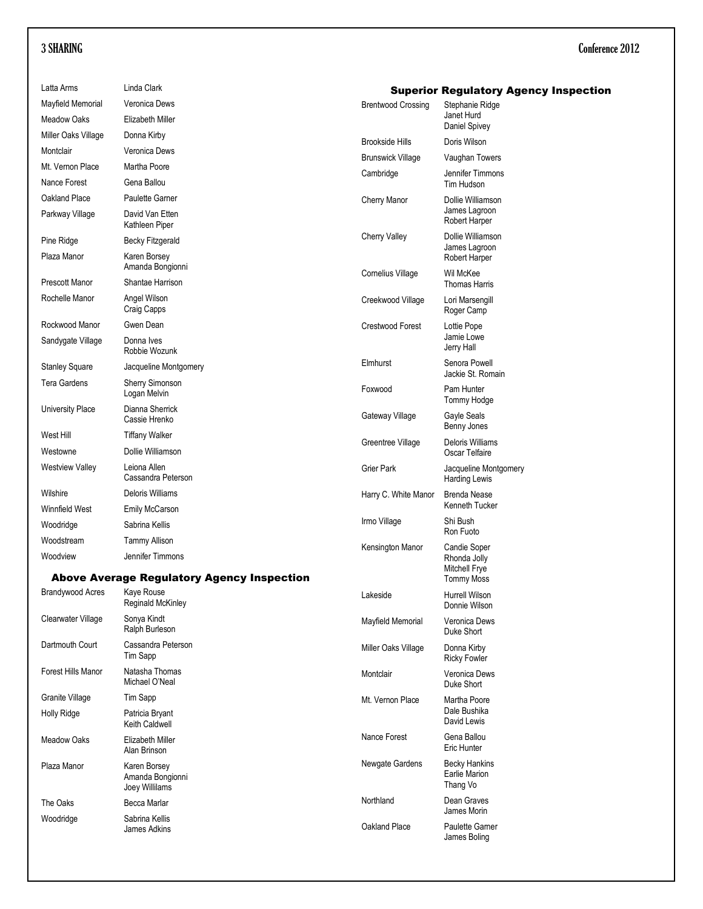| Latta Arms              | Linda Clark                                        |                           | <b>Superior Regulatory Agency Inspection</b>      |
|-------------------------|----------------------------------------------------|---------------------------|---------------------------------------------------|
| Mayfield Memorial       | Veronica Dews                                      | <b>Brentwood Crossing</b> | Stephanie Ridge                                   |
| <b>Meadow Oaks</b>      | Elizabeth Miller                                   |                           | Janet Hurd<br>Daniel Spivey                       |
| Miller Oaks Village     | Donna Kirby                                        | <b>Brookside Hills</b>    | Doris Wilson                                      |
| Montclair               | Veronica Dews                                      |                           |                                                   |
| Mt. Vernon Place        | Martha Poore                                       | <b>Brunswick Village</b>  | Vaughan Towers                                    |
| Nance Forest            | Gena Ballou                                        | Cambridge                 | Jennifer Timmons<br>Tim Hudson                    |
| Oakland Place           | Paulette Garner                                    | Cherry Manor              | Dollie Williamson                                 |
| Parkway Village         | David Van Etten<br>Kathleen Piper                  |                           | James Lagroon<br>Robert Harper                    |
| Pine Ridge              | <b>Becky Fitzgerald</b>                            | <b>Cherry Valley</b>      | Dollie Williamson                                 |
| Plaza Manor             | Karen Borsey<br>Amanda Bongionni                   |                           | James Lagroon<br>Robert Harper<br>Wil McKee       |
| Prescott Manor          | Shantae Harrison                                   | Cornelius Village         | <b>Thomas Harris</b>                              |
| Rochelle Manor          | Angel Wilson<br>Craig Capps                        | Creekwood Village         | Lori Marsengill<br>Roger Camp                     |
| Rockwood Manor          | Gwen Dean                                          | Crestwood Forest          | Lottie Pope                                       |
| Sandygate Village       | Donna Ives<br>Robbie Wozunk                        |                           | Jamie Lowe<br>Jerry Hall                          |
| <b>Stanley Square</b>   | Jacqueline Montgomery                              | Elmhurst                  | Senora Powell<br>Jackie St. Romain                |
| <b>Tera Gardens</b>     | Sherry Simonson<br>Logan Melvin                    | Foxwood                   | Pam Hunter<br>Tommy Hodge                         |
| University Place        | Dianna Sherrick<br>Cassie Hrenko                   | Gateway Village           | Gayle Seals<br>Benny Jones                        |
| West Hill               | <b>Tiffany Walker</b>                              | Greentree Village         | Deloris Williams                                  |
| Westowne                | Dollie Williamson                                  |                           | Oscar Telfaire                                    |
| <b>Westview Valley</b>  | Leiona Allen<br>Cassandra Peterson                 | Grier Park                | Jacqueline Montgomery<br><b>Harding Lewis</b>     |
| Wilshire                | Deloris Williams                                   | Harry C. White Manor      | <b>Brenda Nease</b>                               |
| Winnfield West          | Emily McCarson                                     |                           | Kenneth Tucker                                    |
| Woodridge               | Sabrina Kellis                                     | Irmo Village              | Shi Bush<br>Ron Fuoto                             |
| Woodstream              | <b>Tammy Allison</b>                               | Kensington Manor          | Candie Soper                                      |
| Woodview                | Jennifer Timmons                                   |                           | Rhonda Jolly                                      |
|                         | <b>Above Average Regulatory Agency Inspection</b>  |                           | Mitchell Frye<br><b>Tommy Moss</b>                |
| <b>Brandywood Acres</b> | Kaye Rouse<br>Reginald McKinley                    | Lakeside                  | <b>Hurrell Wilson</b><br>Donnie Wilson            |
| Clearwater Village      | Sonya Kindt<br>Ralph Burleson                      | Mayfield Memorial         | Veronica Dews<br>Duke Short                       |
| Dartmouth Court         | Cassandra Peterson<br>Tim Sapp                     | Miller Oaks Village       | Donna Kirby<br><b>Ricky Fowler</b>                |
| Forest Hills Manor      | Natasha Thomas<br>Michael O'Neal                   | Montclair                 | Veronica Dews<br>Duke Short                       |
| Granite Village         | Tim Sapp                                           | Mt. Vernon Place          | Martha Poore                                      |
| Holly Ridge             | Patricia Bryant<br>Keith Caldwell                  |                           | Dale Bushika<br>David Lewis                       |
| <b>Meadow Oaks</b>      | Elizabeth Miller<br>Alan Brinson                   | Nance Forest              | Gena Ballou<br>Eric Hunter                        |
| Plaza Manor             | Karen Borsey<br>Amanda Bongionni<br>Joey Willilams | Newgate Gardens           | <b>Becky Hankins</b><br>Earlie Marion<br>Thang Vo |
| The Oaks                | Becca Marlar                                       | Northland                 | Dean Graves<br>James Morin                        |
| Woodridge               | Sabrina Kellis<br>James Adkins                     | Oakland Place             | Paulette Gamer<br>James Boling                    |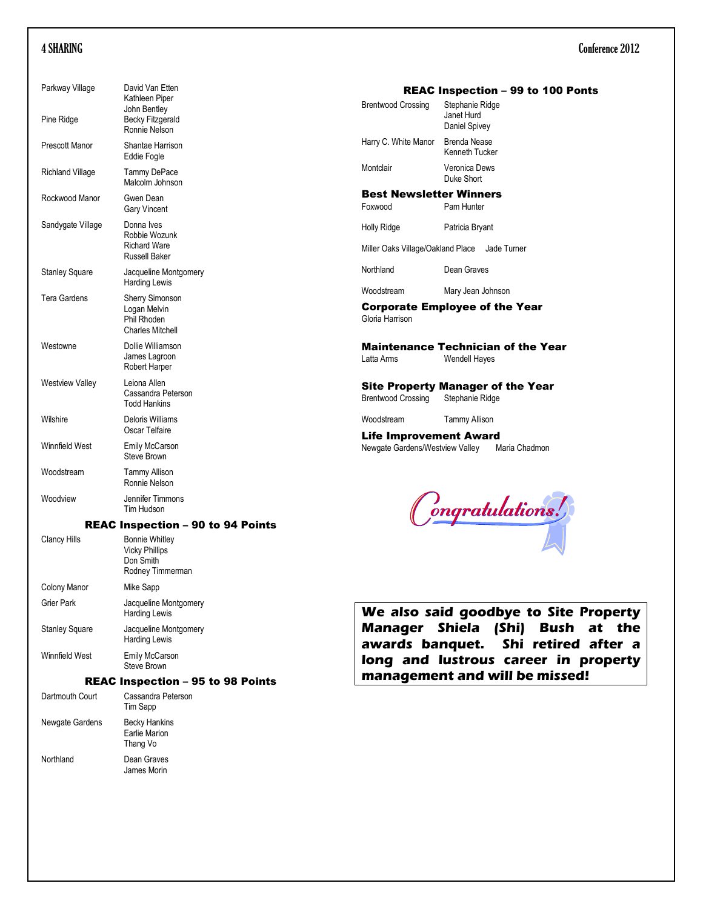| Parkway Village                          | David Van Etten<br>Kathleen Piper                                                |  |
|------------------------------------------|----------------------------------------------------------------------------------|--|
| Pine Ridge                               | John Bentley<br><b>Becky Fitzgerald</b><br>Ronnie Nelson                         |  |
| Prescott Manor                           | Shantae Harrison<br>Eddie Fogle                                                  |  |
| Richland Village                         | <b>Tammy DePace</b><br>Malcolm Johnson                                           |  |
| Rockwood Manor                           | Gwen Dean<br><b>Gary Vincent</b>                                                 |  |
| Sandygate Village                        | Donna Ives<br>Robbie Wozunk<br><b>Richard Ware</b><br><b>Russell Baker</b>       |  |
| <b>Stanley Square</b>                    | Jacqueline Montgomery<br><b>Harding Lewis</b>                                    |  |
| Tera Gardens                             | <b>Sherry Simonson</b><br>Logan Melvin<br>Phil Rhoden<br><b>Charles Mitchell</b> |  |
| Westowne                                 | Dollie Williamson<br>James Lagroon<br>Robert Harper                              |  |
| <b>Westview Valley</b>                   | Leiona Allen<br>Cassandra Peterson<br><b>Todd Hankins</b>                        |  |
| Wilshire                                 | Deloris Williams<br>Oscar Telfaire                                               |  |
| <b>Winnfield West</b>                    | Emily McCarson<br>Steve Brown                                                    |  |
| Woodstream                               | <b>Tammy Allison</b><br>Ronnie Nelson                                            |  |
| Woodview                                 | Jennifer Timmons<br>Tim Hudson                                                   |  |
|                                          | <b>REAC Inspection - 90 to 94 Points</b>                                         |  |
| <b>Clancy Hills</b>                      | <b>Bonnie Whitley</b><br><b>Vicky Phillips</b><br>Don Smith<br>Rodney Timmerman  |  |
| <b>Colony Manor</b>                      | Mike Sapp                                                                        |  |
| Grier Park                               | Jacqueline Montgomery<br><b>Harding Lewis</b>                                    |  |
| Stanley Square                           | Jacqueline Montgomery<br><b>Harding Lewis</b>                                    |  |
| <b>Winnfield West</b>                    | <b>Emily McCarson</b><br>Steve Brown                                             |  |
| <b>REAC Inspection - 95 to 98 Points</b> |                                                                                  |  |
| Dartmouth Court                          | Cassandra Peterson<br><b>Tim Sapp</b>                                            |  |
| Newgate Gardens                          | <b>Becky Hankins</b><br><b>Earlie Marion</b><br>Thang Vo                         |  |
| Northland                                | Dean Graves                                                                      |  |

James Morin

### REAC Inspection – 99 to 100 Ponts

| <b>Brentwood Crossing</b> | Stephanie Ridge<br>Janet Hurd<br>Daniel Spivey |
|---------------------------|------------------------------------------------|
| Harry C. White Manor      | Brenda Nease<br>Kenneth Tucker                 |
| Montclair                 | Veronica Dews<br>Duke Short                    |

### Best Newsletter Winners

Foxwood Pam Hunter

| Holly Ridge | Patricia Bryant |
|-------------|-----------------|
|-------------|-----------------|

Miller Oaks Village/Oakland Place Jade Turner

Northland Dean Graves

Woodstream Mary Jean Johnson

Corporate Employee of the Year Gloria Harrison

**Maintenance Technician of the Year**<br>Latta Arms Wendell Hayes Wendell Hayes

Site Property Manager of the Year Brentwood Crossing Stephanie Ridge

Woodstream Tammy Allison

Life Improvement Award Newgate Gardens/Westview Valley Maria Chadmon

Congratulations!

We also said goodbye to Site Property Manager Shiela (Shi) Bush at the awards banquet. Shi retired after a long and lustrous career in property management and will be missed!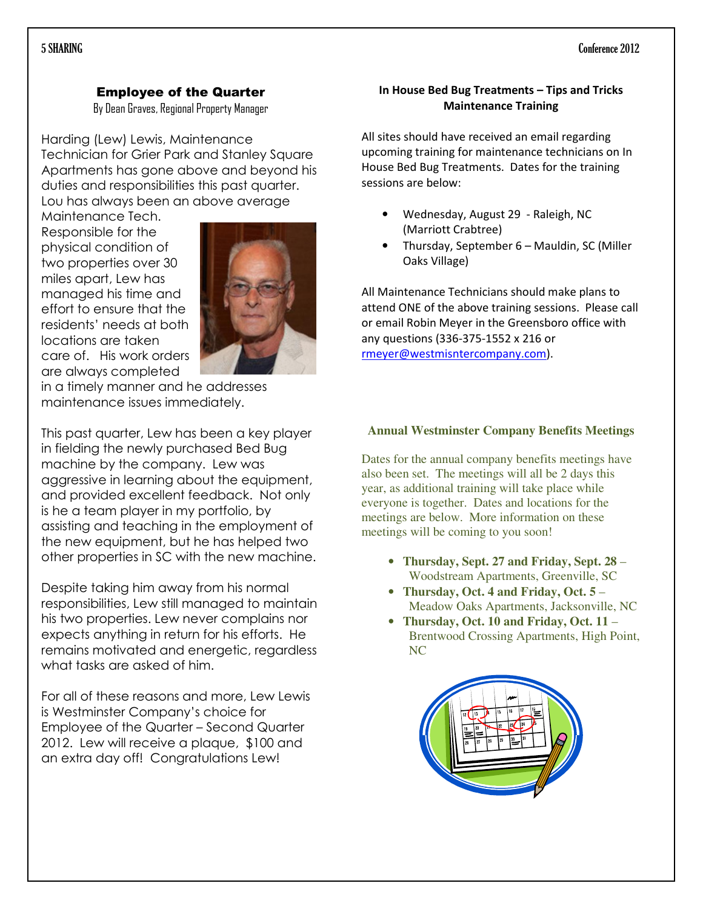# Employee of the Quarter

By Dean Graves, Regional Property Manager

Harding (Lew) Lewis, Maintenance Technician for Grier Park and Stanley Square Apartments has gone above and beyond his duties and responsibilities this past quarter. Lou has always been an above average

Maintenance Tech. Responsible for the physical condition of two properties over 30 miles apart, Lew has managed his time and effort to ensure that the residents' needs at both locations are taken care of. His work orders are always completed



in a timely manner and he addresses maintenance issues immediately.

This past quarter, Lew has been a key player in fielding the newly purchased Bed Bug machine by the company. Lew was aggressive in learning about the equipment, and provided excellent feedback. Not only is he a team player in my portfolio, by assisting and teaching in the employment of the new equipment, but he has helped two other properties in SC with the new machine.

Despite taking him away from his normal responsibilities, Lew still managed to maintain his two properties. Lew never complains nor expects anything in return for his efforts. He remains motivated and energetic, regardless what tasks are asked of him.

For all of these reasons and more, Lew Lewis is Westminster Company's choice for Employee of the Quarter – Second Quarter 2012. Lew will receive a plaque, \$100 and an extra day off! Congratulations Lew!

# In House Bed Bug Treatments – Tips and Tricks Maintenance Training

All sites should have received an email regarding upcoming training for maintenance technicians on In House Bed Bug Treatments. Dates for the training sessions are below:

- Wednesday, August 29 Raleigh, NC (Marriott Crabtree)
- Thursday, September 6 Mauldin, SC (Miller Oaks Village)

All Maintenance Technicians should make plans to attend ONE of the above training sessions. Please call or email Robin Meyer in the Greensboro office with any questions (336-375-1552 x 216 or rmeyer@westmisntercompany.com).

# **Annual Westminster Company Benefits Meetings**

Dates for the annual company benefits meetings have also been set. The meetings will all be 2 days this year, as additional training will take place while everyone is together. Dates and locations for the meetings are below. More information on these meetings will be coming to you soon!

- **Thursday, Sept. 27 and Friday, Sept. 28** Woodstream Apartments, Greenville, SC
- **Thursday, Oct. 4 and Friday, Oct. 5** Meadow Oaks Apartments, Jacksonville, NC
- **Thursday, Oct. 10 and Friday, Oct. 11** Brentwood Crossing Apartments, High Point, NC